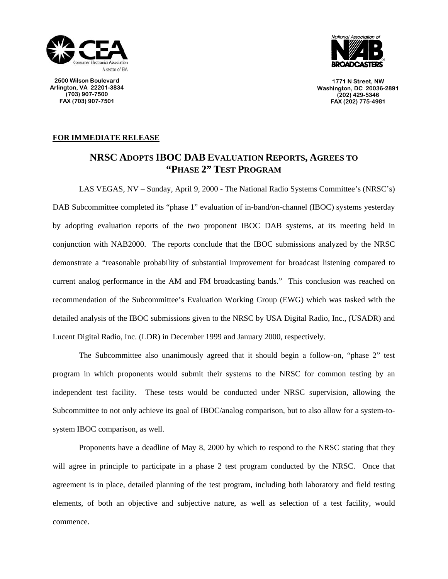

**2500 Wilson Boulevard Arlington, VA 22201-3834 (703) 907-7500 FAX (703) 907-7501** 



**1771 N Street, NW Washington, DC 20036-2891 (202) 429-5346 FAX (202) 775-4981**

## **FOR IMMEDIATE RELEASE**

## **NRSC ADOPTS IBOC DAB EVALUATION REPORTS, AGREES TO "PHASE 2" TEST PROGRAM**

 LAS VEGAS, NV – Sunday, April 9, 2000 - The National Radio Systems Committee's (NRSC's) DAB Subcommittee completed its "phase 1" evaluation of in-band/on-channel (IBOC) systems yesterday by adopting evaluation reports of the two proponent IBOC DAB systems, at its meeting held in conjunction with NAB2000. The reports conclude that the IBOC submissions analyzed by the NRSC demonstrate a "reasonable probability of substantial improvement for broadcast listening compared to current analog performance in the AM and FM broadcasting bands." This conclusion was reached on recommendation of the Subcommittee's Evaluation Working Group (EWG) which was tasked with the detailed analysis of the IBOC submissions given to the NRSC by USA Digital Radio, Inc., (USADR) and Lucent Digital Radio, Inc. (LDR) in December 1999 and January 2000, respectively.

 The Subcommittee also unanimously agreed that it should begin a follow-on, "phase 2" test program in which proponents would submit their systems to the NRSC for common testing by an independent test facility. These tests would be conducted under NRSC supervision, allowing the Subcommittee to not only achieve its goal of IBOC/analog comparison, but to also allow for a system-tosystem IBOC comparison, as well.

 Proponents have a deadline of May 8, 2000 by which to respond to the NRSC stating that they will agree in principle to participate in a phase 2 test program conducted by the NRSC. Once that agreement is in place, detailed planning of the test program, including both laboratory and field testing elements, of both an objective and subjective nature, as well as selection of a test facility, would commence.